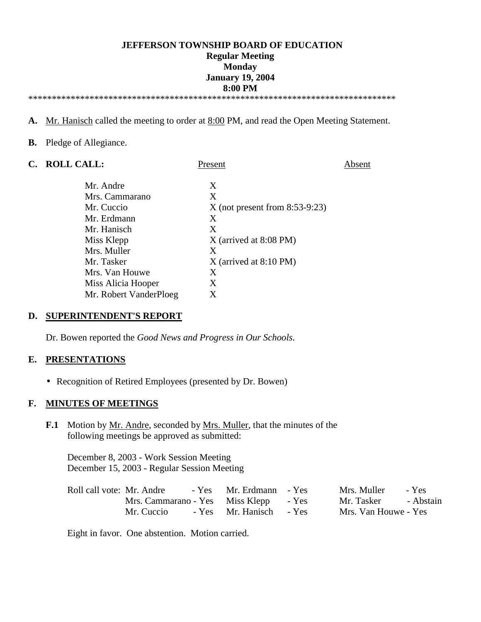# **JEFFERSON TOWNSHIP BOARD OF EDUCATION Regular Meeting Monday January 19, 2004 8:00 PM**

\*\*\*\*\*\*\*\*\*\*\*\*\*\*\*\*\*\*\*\*\*\*\*\*\*\*\*\*\*\*\*\*\*\*\*\*\*\*\*\*\*\*\*\*\*\*\*\*\*\*\*\*\*\*\*\*\*\*\*\*\*\*\*\*\*\*\*\*\*\*\*\*\*\*\*\*\*\*

- **A.** Mr. Hanisch called the meeting to order at 8:00 PM, and read the Open Meeting Statement.
- **B.** Pledge of Allegiance.

| $\mathbf{C}$ . | <b>ROLL CALL:</b>      | Present                          | Absent |
|----------------|------------------------|----------------------------------|--------|
|                | Mr. Andre              | X                                |        |
|                | Mrs. Cammarano         | X                                |        |
|                | Mr. Cuccio             | $X$ (not present from 8:53-9:23) |        |
|                | Mr. Erdmann            | X                                |        |
|                | Mr. Hanisch            | X                                |        |
|                | Miss Klepp             | $X$ (arrived at 8:08 PM)         |        |
|                | Mrs. Muller            | X                                |        |
|                | Mr. Tasker             | $X$ (arrived at 8:10 PM)         |        |
|                | Mrs. Van Houwe         | X                                |        |
|                | Miss Alicia Hooper     | X                                |        |
|                | Mr. Robert VanderPloeg | X                                |        |

#### **D. SUPERINTENDENT'S REPORT**

Dr. Bowen reported the *Good News and Progress in Our Schools*.

#### **E. PRESENTATIONS**

• Recognition of Retired Employees (presented by Dr. Bowen)

#### **F. MINUTES OF MEETINGS**

**F.1** Motion by Mr. Andre, seconded by Mrs. Muller, that the minutes of the following meetings be approved as submitted:

 December 8, 2003 - Work Session Meeting December 15, 2003 - Regular Session Meeting

| Roll call vote: Mr. Andre             | - Yes Mr. Erdmann - Yes | Mrs. Muller          | - Yes |
|---------------------------------------|-------------------------|----------------------|-------|
| Mrs. Cammarano - Yes Miss Klepp - Yes |                         | Mr. Tasker - Abstain |       |
| Mr. Cuccio                            | - Yes Mr. Hanisch - Yes | Mrs. Van Houwe - Yes |       |

Eight in favor. One abstention. Motion carried.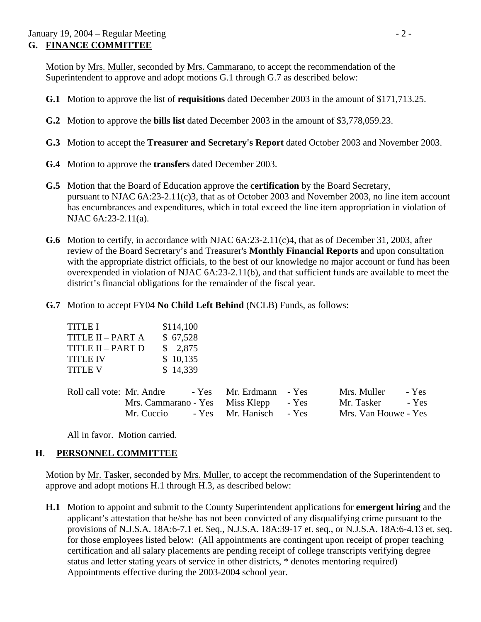Motion by Mrs. Muller, seconded by Mrs. Cammarano, to accept the recommendation of the Superintendent to approve and adopt motions G.1 through G.7 as described below:

- **G.1** Motion to approve the list of **requisitions** dated December 2003 in the amount of \$171,713.25.
- **G.2** Motion to approve the **bills list** dated December 2003 in the amount of \$3,778,059.23.
- **G.3** Motion to accept the **Treasurer and Secretary's Report** dated October 2003 and November 2003.
- **G.4** Motion to approve the **transfers** dated December 2003.
- **G.5** Motion that the Board of Education approve the **certification** by the Board Secretary, pursuant to NJAC 6A:23-2.11(c)3, that as of October 2003 and November 2003, no line item account has encumbrances and expenditures, which in total exceed the line item appropriation in violation of NJAC 6A:23-2.11(a).
- **G.6** Motion to certify, in accordance with NJAC 6A:23-2.11(c)4, that as of December 31, 2003, after review of the Board Secretary's and Treasurer's **Monthly Financial Reports** and upon consultation with the appropriate district officials, to the best of our knowledge no major account or fund has been overexpended in violation of NJAC 6A:23-2.11(b), and that sufficient funds are available to meet the district's financial obligations for the remainder of the fiscal year.
- **G.7** Motion to accept FY04 **No Child Left Behind** (NCLB) Funds, as follows:

| <b>TITLE I</b>    | \$114,100 |
|-------------------|-----------|
| TITLE II - PART A | \$67,528  |
| TITLE II – PART D | \$2,875   |
| <b>TITLE IV</b>   | \$10,135  |
| <b>TITLE V</b>    | \$14,339  |
|                   |           |

| Roll call vote: Mr. Andre |                                       | - Yes Mr. Erdmann - Yes | Mrs. Muller          | - Yes |
|---------------------------|---------------------------------------|-------------------------|----------------------|-------|
|                           | Mrs. Cammarano - Yes Miss Klepp - Yes |                         | Mr. Tasker - Yes     |       |
|                           | Mr. Cuccio - Yes Mr. Hanisch - Yes    |                         | Mrs. Van Houwe - Yes |       |

All in favor. Motion carried.

# **H**. **PERSONNEL COMMITTEE**

Motion by Mr. Tasker, seconded by Mrs. Muller, to accept the recommendation of the Superintendent to approve and adopt motions H.1 through H.3, as described below:

 **H.1** Motion to appoint and submit to the County Superintendent applications for **emergent hiring** and the applicant's attestation that he/she has not been convicted of any disqualifying crime pursuant to the provisions of N.J.S.A. 18A:6-7.1 et. Seq., N.J.S.A. 18A:39-17 et. seq., or N.J.S.A. 18A:6-4.13 et. seq. for those employees listed below: (All appointments are contingent upon receipt of proper teaching certification and all salary placements are pending receipt of college transcripts verifying degree status and letter stating years of service in other districts, \* denotes mentoring required) Appointments effective during the 2003-2004 school year.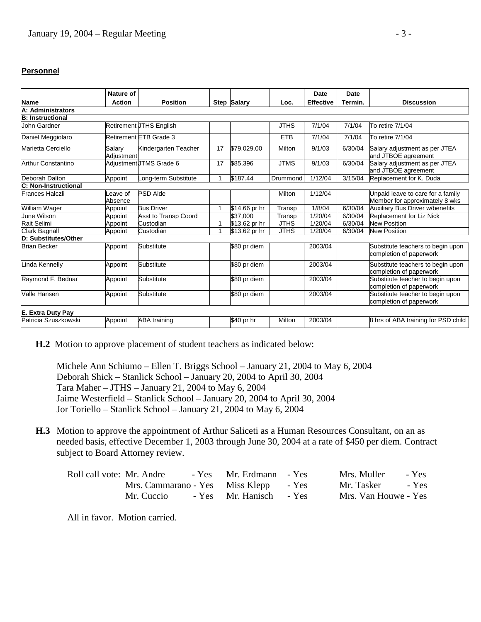#### **Personnel**

|                         | Nature of            |                                |              |                    |             | Date             | Date    |                                                                     |  |
|-------------------------|----------------------|--------------------------------|--------------|--------------------|-------------|------------------|---------|---------------------------------------------------------------------|--|
| <b>Name</b>             | <b>Action</b>        | <b>Position</b>                |              | <b>Step Salary</b> | Loc.        | <b>Effective</b> | Termin. | <b>Discussion</b>                                                   |  |
| A: Administrators       |                      |                                |              |                    |             |                  |         |                                                                     |  |
| <b>B: Instructional</b> |                      |                                |              |                    |             |                  |         |                                                                     |  |
| John Gardner            |                      | <b>Retirement UTHS English</b> |              |                    | <b>JTHS</b> | 7/1/04           | 7/1/04  | To retire 7/1/04                                                    |  |
| Daniel Meggiolaro       |                      | Retirement ETB Grade 3         |              |                    | <b>ETB</b>  | 7/1/04           | 7/1/04  | To retire 7/1/04                                                    |  |
| Marietta Cerciello      | Salarv<br>Adiustment | Kindergarten Teacher           | 17           | \$79,029.00        | Milton      | 9/1/03           | 6/30/04 | Salary adjustment as per JTEA<br>and JTBOE agreement                |  |
| Arthur Constantino      |                      | AdjustmentUTMS Grade 6         | 17           | \$85,396           | <b>JTMS</b> | 9/1/03           | 6/30/04 | Salary adjustment as per JTEA<br>and JTBOE agreement                |  |
| Deborah Dalton          | Appoint              | Long-term Substitute           | 1            | \$187.44           | Drummond    | 1/12/04          | 3/15/04 | Replacement for K. Duda                                             |  |
| C: Non-Instructional    |                      |                                |              |                    |             |                  |         |                                                                     |  |
| Frances Halczli         | Leave of<br>Absence  | <b>PSD Aide</b>                |              |                    | Milton      | 1/12/04          |         | Jnpaid leave to care for a family<br>Member for approximately 8 wks |  |
| William Wager           | Appoint              | <b>Bus Driver</b>              | $\mathbf{1}$ | \$14.66 pr hr      | Transp      | 1/8/04           | 6/30/04 | Auxiliary Bus Driver w/benefits                                     |  |
| June Wilson             | Appoint              | <b>Asst to Transp Coord</b>    |              | $\sqrt{$37,000}$   | Transp      | 1/20/04          | 6/30/04 | Replacement for Liz Nick                                            |  |
| Rait Selimi             | Appoint              | Custodian                      | 1            | \$13.62 pr hr      | <b>JTHS</b> | 1/20/04          | 6/30/04 | <b>New Position</b>                                                 |  |
| Clark Bagnall           | Appoint              | Custodian                      | 1            | \$13.62 pr hr      | <b>JTHS</b> | 1/20/04          | 6/30/04 | <b>New Position</b>                                                 |  |
| D: Substitutes/Other    |                      |                                |              |                    |             |                  |         |                                                                     |  |
| <b>Brian Becker</b>     | Appoint              | Substitute                     |              | \$80 pr diem       |             | 2003/04          |         | Substitute teachers to begin upon<br>completion of paperwork        |  |
| Linda Kennelly          | Appoint              | Substitute                     |              | \$80 pr diem       |             | 2003/04          |         | Substitute teachers to begin upon<br>completion of paperwork        |  |
| Raymond F. Bednar       | Appoint              | Substitute                     |              | \$80 pr diem       |             | 2003/04          |         | Substitute teacher to begin upon<br>completion of paperwork         |  |
| Valle Hansen            | Appoint              | Substitute                     |              | \$80 pr diem       |             | 2003/04          |         | Substitute teacher to begin upon<br>completion of paperwork         |  |
| E. Extra Duty Pay       |                      |                                |              |                    |             |                  |         |                                                                     |  |
| Patricia Szuszkowski    | Appoint              | <b>ABA</b> training            |              | \$40 pr hr         | Milton      | 2003/04          |         | 8 hrs of ABA training for PSD child                                 |  |

**H.2** Motion to approve placement of student teachers as indicated below:

 Michele Ann Schiumo – Ellen T. Briggs School – January 21, 2004 to May 6, 2004 Deborah Shick – Stanlick School – January 20, 2004 to April 30, 2004 Tara Maher – JTHS – January 21, 2004 to May 6, 2004 Jaime Westerfield – Stanlick School – January 20, 2004 to April 30, 2004 Jor Toriello – Stanlick School – January 21, 2004 to May 6, 2004

**H.3** Motion to approve the appointment of Arthur Saliceti as a Human Resources Consultant, on an as needed basis, effective December 1, 2003 through June 30, 2004 at a rate of \$450 per diem. Contract subject to Board Attorney review.

| Roll call vote: Mr. Andre             | - Yes Mr. Erdmann - Yes | Mrs. Muller<br>- Yes |
|---------------------------------------|-------------------------|----------------------|
| Mrs. Cammarano - Yes Miss Klepp - Yes |                         | Mr. Tasker<br>- Yes  |
| Mr. Cuccio                            | - Yes Mr. Hanisch - Yes | Mrs. Van Houwe - Yes |

All in favor. Motion carried.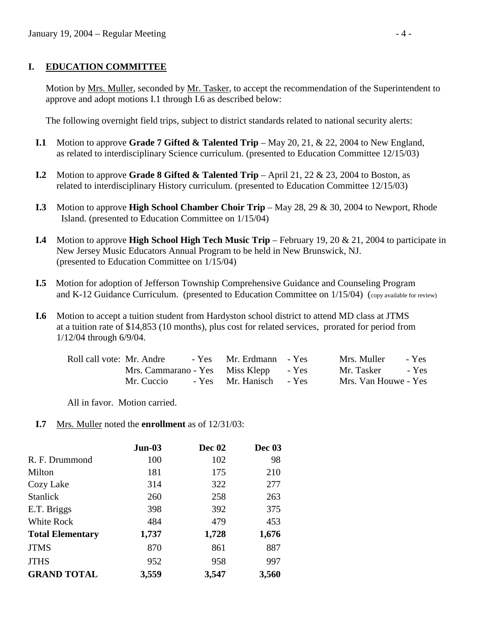# **I. EDUCATION COMMITTEE**

Motion by Mrs. Muller, seconded by Mr. Tasker, to accept the recommendation of the Superintendent to approve and adopt motions I.1 through I.6 as described below:

The following overnight field trips, subject to district standards related to national security alerts:

- **I.1** Motion to approve **Grade 7 Gifted & Talented Trip** May 20, 21, & 22, 2004 to New England, as related to interdisciplinary Science curriculum. (presented to Education Committee 12/15/03)
- **I.2** Motion to approve **Grade 8 Gifted & Talented Trip** April 21, 22 & 23, 2004 to Boston, as related to interdisciplinary History curriculum. (presented to Education Committee 12/15/03)
- **I.3** Motion to approve **High School Chamber Choir Trip** May 28, 29 & 30, 2004 to Newport, Rhode Island. (presented to Education Committee on 1/15/04)
- **I.4** Motion to approve **High School High Tech Music Trip** February 19, 20 & 21, 2004 to participate in New Jersey Music Educators Annual Program to be held in New Brunswick, NJ. (presented to Education Committee on 1/15/04)
- **I.5** Motion for adoption of Jefferson Township Comprehensive Guidance and Counseling Program and K-12 Guidance Curriculum. (presented to Education Committee on 1/15/04) (copy available for review)
- **I.6** Motion to accept a tuition student from Hardyston school district to attend MD class at JTMS at a tuition rate of \$14,853 (10 months), plus cost for related services, prorated for period from 1/12/04 through 6/9/04.

| Roll call vote: Mr. Andre             | - Yes Mr. Erdmann - Yes | Mrs. Muller - Yes    |  |
|---------------------------------------|-------------------------|----------------------|--|
| Mrs. Cammarano - Yes Miss Klepp - Yes |                         | Mr. Tasker - Yes     |  |
| Mr. Cuccio                            | - Yes Mr. Hanisch - Yes | Mrs. Van Houwe - Yes |  |

All in favor. Motion carried.

 **I.7** Mrs. Muller noted the **enrollment** as of 12/31/03:

|                         | $Jun-03$ | <b>Dec 02</b> | Dec 03 |
|-------------------------|----------|---------------|--------|
| R. F. Drummond          | 100      | 102           | 98     |
| Milton                  | 181      | 175           | 210    |
| Cozy Lake               | 314      | 322           | 277    |
| <b>Stanlick</b>         | 260      | 258           | 263    |
| E.T. Briggs             | 398      | 392           | 375    |
| White Rock              | 484      | 479           | 453    |
| <b>Total Elementary</b> | 1,737    | 1,728         | 1,676  |
| <b>JTMS</b>             | 870      | 861           | 887    |
| <b>JTHS</b>             | 952      | 958           | 997    |
| <b>GRAND TOTAL</b>      | 3,559    | 3,547         | 3,560  |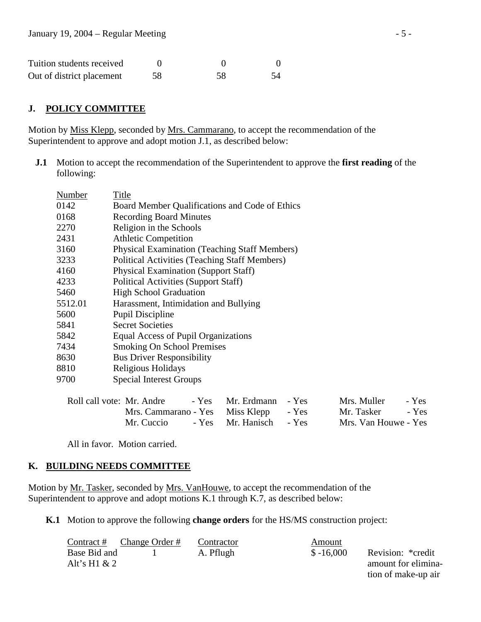| Tuition students received |    |    |  |
|---------------------------|----|----|--|
| Out of district placement | 58 | 58 |  |

## **J. POLICY COMMITTEE**

Motion by Miss Klepp, seconded by Mrs. Cammarano, to accept the recommendation of the Superintendent to approve and adopt motion J.1, as described below:

**J.1** Motion to accept the recommendation of the Superintendent to approve the **first reading** of the following:

| Number  | Title                                                |  |
|---------|------------------------------------------------------|--|
| 0142    | Board Member Qualifications and Code of Ethics       |  |
| 0168    | <b>Recording Board Minutes</b>                       |  |
| 2270    | Religion in the Schools                              |  |
| 2431    | <b>Athletic Competition</b>                          |  |
| 3160    | <b>Physical Examination (Teaching Staff Members)</b> |  |
| 3233    | <b>Political Activities (Teaching Staff Members)</b> |  |
| 4160    | <b>Physical Examination (Support Staff)</b>          |  |
| 4233    | Political Activities (Support Staff)                 |  |
| 5460    | <b>High School Graduation</b>                        |  |
| 5512.01 | Harassment, Intimidation and Bullying                |  |
| 5600    | <b>Pupil Discipline</b>                              |  |
| 5841    | <b>Secret Societies</b>                              |  |
| 5842    | Equal Access of Pupil Organizations                  |  |
| 7434    | <b>Smoking On School Premises</b>                    |  |
| 8630    | <b>Bus Driver Responsibility</b>                     |  |
| 8810    | Religious Holidays                                   |  |
| 9700    | <b>Special Interest Groups</b>                       |  |

| Roll call vote: Mr. Andre - Yes Mr. Erdmann - Yes |  | Mrs. Muller - Yes    |  |
|---------------------------------------------------|--|----------------------|--|
| Mrs. Cammarano - Yes Miss Klepp - Yes             |  | Mr. Tasker - Yes     |  |
| Mr. Cuccio - Yes Mr. Hanisch - Yes                |  | Mrs. Van Houwe - Yes |  |

All in favor. Motion carried.

#### **K. BUILDING NEEDS COMMITTEE**

Motion by Mr. Tasker, seconded by Mrs. VanHouwe, to accept the recommendation of the Superintendent to approve and adopt motions K.1 through K.7, as described below:

**K.1** Motion to approve the following **change orders** for the HS/MS construction project:

| Contract #      | Change Order # | Contractor | Amount      |                     |
|-----------------|----------------|------------|-------------|---------------------|
| Base Bid and    |                | A. Pflugh  | $$ -16,000$ | Revision: *credit   |
| Alt's H $1 & 2$ |                |            |             | amount for elimina- |
|                 |                |            |             | tion of make-up air |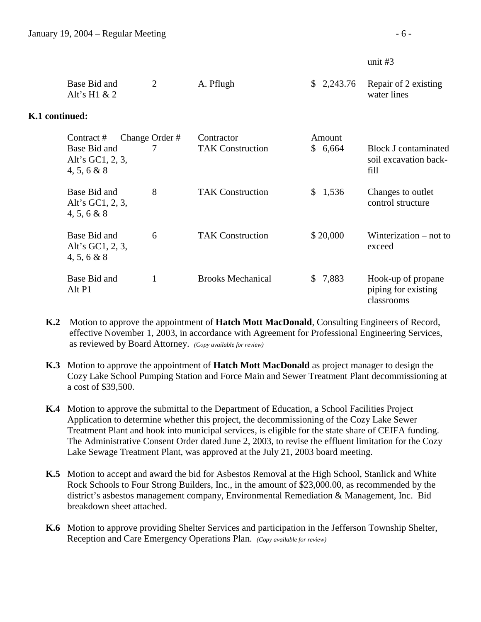#### unit #3

|                | Base Bid and<br>Alt's H $1 & 2$                                 | $\overline{2}$ | A. Pflugh                             | \$2,243.76        | Repair of 2 existing<br>water lines                          |
|----------------|-----------------------------------------------------------------|----------------|---------------------------------------|-------------------|--------------------------------------------------------------|
| K.1 continued: |                                                                 |                |                                       |                   |                                                              |
|                | Contract#<br>Base Bid and<br>Alt's GC1, 2, 3,<br>$4, 5, 6 \& 8$ | Change Order # | Contractor<br><b>TAK Construction</b> | Amount<br>\$6,664 | <b>Block J contaminated</b><br>soil excavation back-<br>fill |
|                | Base Bid and<br>Alt's GC1, 2, 3,<br>4, 5, 6 & 8                 | 8              | <b>TAK Construction</b>               | \$1,536           | Changes to outlet<br>control structure                       |
|                | Base Bid and<br>Alt's GC1, 2, 3,<br>4, 5, 6 & 8                 | 6              | <b>TAK Construction</b>               | \$20,000          | Winterization $-$ not to<br>exceed                           |
|                | Base Bid and<br>Alt P1                                          | 1              | <b>Brooks Mechanical</b>              | \$7,883           | Hook-up of propane<br>piping for existing<br>classrooms      |

- **K.2** Motion to approve the appointment of **Hatch Mott MacDonald**, Consulting Engineers of Record, effective November 1, 2003, in accordance with Agreement for Professional Engineering Services, as reviewed by Board Attorney. *(Copy available for review)*
- **K.3** Motion to approve the appointment of **Hatch Mott MacDonald** as project manager to design the Cozy Lake School Pumping Station and Force Main and Sewer Treatment Plant decommissioning at a cost of \$39,500.
- **K.4** Motion to approve the submittal to the Department of Education, a School Facilities Project Application to determine whether this project, the decommissioning of the Cozy Lake Sewer Treatment Plant and hook into municipal services, is eligible for the state share of CEIFA funding. The Administrative Consent Order dated June 2, 2003, to revise the effluent limitation for the Cozy Lake Sewage Treatment Plant, was approved at the July 21, 2003 board meeting.
- **K.5** Motion to accept and award the bid for Asbestos Removal at the High School, Stanlick and White Rock Schools to Four Strong Builders, Inc., in the amount of \$23,000.00, as recommended by the district's asbestos management company, Environmental Remediation & Management, Inc. Bid breakdown sheet attached.
- **K.6** Motion to approve providing Shelter Services and participation in the Jefferson Township Shelter, Reception and Care Emergency Operations Plan. *(Copy available for review)*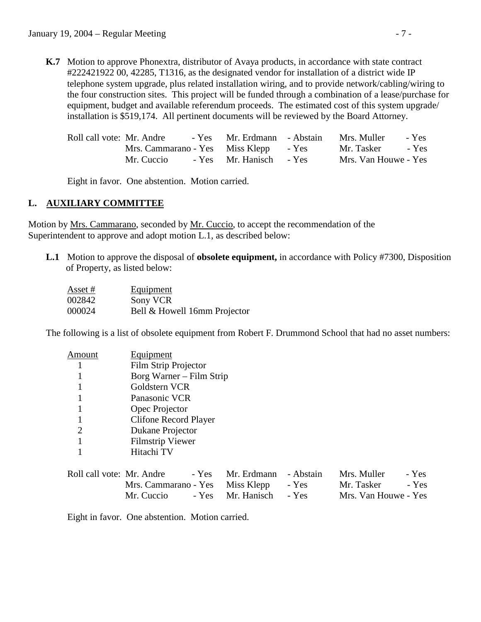**K.7** Motion to approve Phonextra, distributor of Avaya products, in accordance with state contract #222421922 00, 42285, T1316, as the designated vendor for installation of a district wide IP telephone system upgrade, plus related installation wiring, and to provide network/cabling/wiring to the four construction sites. This project will be funded through a combination of a lease/purchase for equipment, budget and available referendum proceeds. The estimated cost of this system upgrade/ installation is \$519,174. All pertinent documents will be reviewed by the Board Attorney.

| Roll call vote: Mr. Andre             | - Yes Mr. Erdmann - Abstain | Mrs. Muller - Yes    |  |
|---------------------------------------|-----------------------------|----------------------|--|
| Mrs. Cammarano - Yes Miss Klepp - Yes |                             | Mr. Tasker - Yes     |  |
| Mr. Cuccio                            | - Yes Mr. Hanisch - Yes     | Mrs. Van Houwe - Yes |  |

Eight in favor. One abstention. Motion carried.

# **L. AUXILIARY COMMITTEE**

Motion by Mrs. Cammarano, seconded by Mr. Cuccio, to accept the recommendation of the Superintendent to approve and adopt motion L.1, as described below:

 **L.1** Motion to approve the disposal of **obsolete equipment,** in accordance with Policy #7300, Disposition of Property, as listed below:

| Asset # | Equipment                    |
|---------|------------------------------|
| 002842  | Sony VCR                     |
| 000024  | Bell & Howell 16mm Projector |

The following is a list of obsolete equipment from Robert F. Drummond School that had no asset numbers:

| Amount                    | Equipment                                                 |
|---------------------------|-----------------------------------------------------------|
|                           | Film Strip Projector                                      |
|                           | Borg Warner – Film Strip                                  |
|                           | Goldstern VCR                                             |
|                           | Panasonic VCR                                             |
|                           | Opec Projector                                            |
|                           | <b>Clifone Record Player</b>                              |
| $\overline{2}$            | Dukane Projector                                          |
|                           | <b>Filmstrip Viewer</b>                                   |
|                           | Hitachi TV                                                |
| Roll call vote: Mr. Andre | - Abstain<br>Mrs. Muller<br>- Yes<br>Mr. Erdmann<br>- Yes |

| Roll call vote: Mr. Andre - Yes Mr. Erdmann - Abstain Mrs. Muller - Yes |                                       |                      |  |
|-------------------------------------------------------------------------|---------------------------------------|----------------------|--|
|                                                                         | Mrs. Cammarano - Yes Miss Klepp - Yes | Mr. Tasker - Yes     |  |
|                                                                         | Mr. Cuccio - Yes Mr. Hanisch - Yes    | Mrs. Van Houwe - Yes |  |

Eight in favor. One abstention. Motion carried.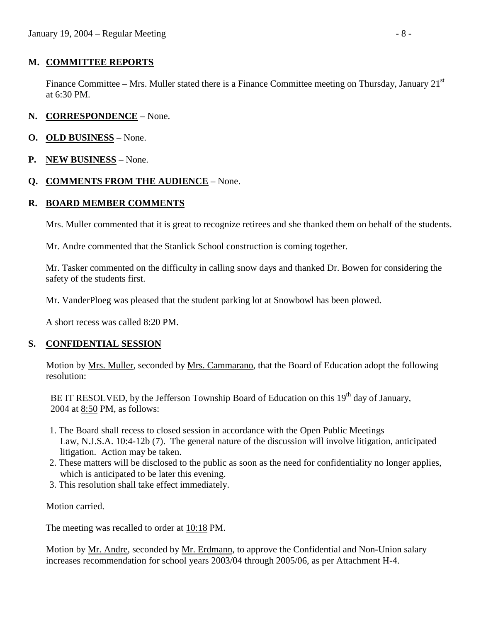# **M. COMMITTEE REPORTS**

Finance Committee – Mrs. Muller stated there is a Finance Committee meeting on Thursday, January 21<sup>st</sup> at 6:30 PM.

- **N. CORRESPONDENCE** None.
- **O. OLD BUSINESS** None.
- **P. NEW BUSINESS** None.

# **Q. COMMENTS FROM THE AUDIENCE** – None.

### **R. BOARD MEMBER COMMENTS**

Mrs. Muller commented that it is great to recognize retirees and she thanked them on behalf of the students.

Mr. Andre commented that the Stanlick School construction is coming together.

 Mr. Tasker commented on the difficulty in calling snow days and thanked Dr. Bowen for considering the safety of the students first.

Mr. VanderPloeg was pleased that the student parking lot at Snowbowl has been plowed.

A short recess was called 8:20 PM.

#### **S. CONFIDENTIAL SESSION**

Motion by <u>Mrs. Muller</u>, seconded by <u>Mrs. Cammarano</u>, that the Board of Education adopt the following resolution:

BE IT RESOLVED, by the Jefferson Township Board of Education on this  $19<sup>th</sup>$  day of January. 2004 at 8:50 PM, as follows:

- 1. The Board shall recess to closed session in accordance with the Open Public Meetings Law, N.J.S.A. 10:4-12b (7). The general nature of the discussion will involve litigation, anticipated litigation. Action may be taken.
- 2. These matters will be disclosed to the public as soon as the need for confidentiality no longer applies, which is anticipated to be later this evening.
- 3. This resolution shall take effect immediately.

Motion carried.

The meeting was recalled to order at 10:18 PM.

 Motion by Mr. Andre, seconded by Mr. Erdmann, to approve the Confidential and Non-Union salary increases recommendation for school years 2003/04 through 2005/06, as per Attachment H-4.